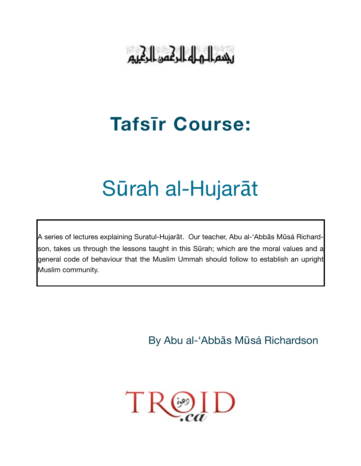## يجسم الرهاه الرهمن الرهيم

# **Tafsīr Course:**

# Sūrah al-Hujarāt

A series of lectures explaining Suratul-Hujarāt. Our teacher, Abu al-'Abbās Mūsá Richardson, takes us through the lessons taught in this Sūrah; which are the moral values and a general code of behaviour that the Muslim Ummah should follow to establish an upright Muslim community.

By Abu al-'Abbās Mūsá Richardson

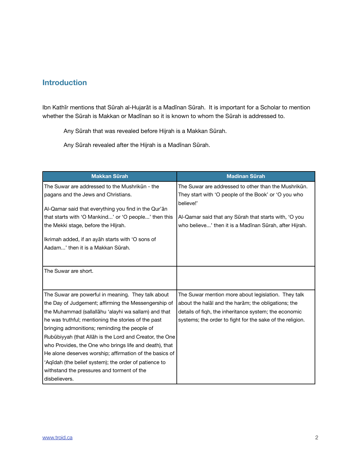## **Introduction**

Ibn Kathīr mentions that Sūrah al-Hujarāt is a Madīnan Sūrah. It is important for a Scholar to mention whether the Sūrah is Makkan or Madīnan so it is known to whom the Sūrah is addressed to.

Any Sūrah that was revealed before Hijrah is a Makkan Sūrah.

Any Sūrah revealed after the Hijrah is a Madīnan Sūrah.

| <b>Makkan Sürah</b>                                                                                                                                 | <b>Madinan Sürah</b>                                                                                                         |
|-----------------------------------------------------------------------------------------------------------------------------------------------------|------------------------------------------------------------------------------------------------------------------------------|
| The Suwar are addressed to the Mushrikūn - the                                                                                                      | The Suwar are addressed to other than the Mushrikun.                                                                         |
| pagans and the Jews and Christians.                                                                                                                 | They start with 'O people of the Book' or 'O you who                                                                         |
| Al-Qamar said that everything you find in the Qur'an<br>that starts with 'O Mankind' or 'O people' then this<br>the Mekki stage, before the Hljrah. | believe!'<br>Al-Qamar said that any Surah that starts with, 'O you<br>who believe' then it is a Madinan Surah, after Hijrah. |
| Ikrimah added, if an ayah starts with 'O sons of                                                                                                    |                                                                                                                              |
| Aadam' then it is a Makkan Surah.                                                                                                                   |                                                                                                                              |
|                                                                                                                                                     |                                                                                                                              |
| The Suwar are short.                                                                                                                                |                                                                                                                              |
| The Suwar are powerful in meaning. They talk about                                                                                                  | The Suwar mention more about legislation. They talk                                                                          |
| the Day of Judgement; affirming the Messengership of                                                                                                | about the halal and the haram; the obligations; the                                                                          |
| the Muhammad (sallallahu 'alayhi wa sallam) and that                                                                                                | details of figh, the inheritance system; the economic                                                                        |
| he was truthful; mentioning the stories of the past                                                                                                 | systems; the order to fight for the sake of the religion.                                                                    |
| bringing admonitions; reminding the people of                                                                                                       |                                                                                                                              |
| Rubūbiyyah (that Allāh is the Lord and Creator, the One                                                                                             |                                                                                                                              |
| who Provides, the One who brings life and death), that                                                                                              |                                                                                                                              |
| He alone deserves worship; affirmation of the basics of                                                                                             |                                                                                                                              |
| 'Aqidah (the belief system); the order of patience to                                                                                               |                                                                                                                              |
| withstand the pressures and torment of the                                                                                                          |                                                                                                                              |
| disbelievers.                                                                                                                                       |                                                                                                                              |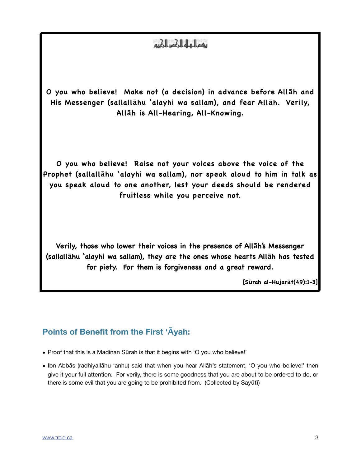## بممالهاه الرائمي الرابيم

**O you who believe! Make not (a decision) in advance before Allāh and His Messenger (sallallāhu 'alayhi wa sallam), and fear Allāh. Verily, Allāh is All-Hearing, All-Knowing.**

**O you who believe! Raise not your voices above the voice of the Prophet (sallallāhu 'alayhi wa sallam), nor speak aloud to him in talk as**  you speak aloud to one another, lest your deeds should be rendered **fruitless while you perceive not.**

**Verily, those who lower their voices in the presence of Allāh's Messenger (sallallāhu 'alayhi wa sallam), they are the ones whose hearts Allāh has tested for piety. For them is forgiveness and a great reward.**

**[Sūrah al-Hujarāt(49):1-3]**

## **Points of Benefit from the First 'Āyah:**

- Proof that this is a Madinan Sūrah is that it begins with 'O you who believe!'
- Ibn Abbās (radhiyallāhu 'anhu) said that when you hear Allāh's statement, 'O you who believe!' then give it your full attention. For verily, there is some goodness that you are about to be ordered to do, or there is some evil that you are going to be prohibited from. (Collected by Sayūtī)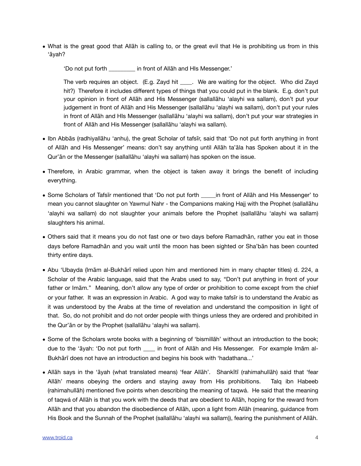• What is the great good that Allāh is calling to, or the great evil that He is prohibiting us from in this 'āyah?

'Do not put forth \_\_\_\_\_\_\_\_\_ in front of Allāh and HIs Messenger.'

The verb requires an object. (E.g. Zayd hit \_\_\_\_. We are waiting for the object. Who did Zayd hit?) Therefore it includes different types of things that you could put in the blank. E.g. don't put your opinion in front of Allāh and His Messenger (sallallāhu 'alayhi wa sallam), don't put your judgement in front of Allāh and His Messenger (sallallāhu 'alayhi wa sallam), don't put your rules in front of Allāh and HIs Messenger (sallallāhu 'alayhi wa sallam), don't put your war strategies in front of Allāh and His Messenger (sallallāhu 'alayhi wa sallam).

- Ibn Abbās (radhiyallāhu 'anhu), the great Scholar of tafsīr, said that 'Do not put forth anything in front of Allāh and His Messenger' means: don't say anything until Allāh ta'āla has Spoken about it in the Qur'ān or the Messenger (sallallāhu 'alayhi wa sallam) has spoken on the issue.
- Therefore, in Arabic grammar, when the object is taken away it brings the benefit of including everything.
- Some Scholars of Tafsīr mentioned that 'Do not put forth \_\_\_\_\_in front of Allāh and His Messenger' to mean you cannot slaughter on Yawmul Nahr - the Companions making Hajj with the Prophet (sallallāhu 'alayhi wa sallam) do not slaughter your animals before the Prophet (sallallāhu 'alayhi wa sallam) slaughters his animal.
- Others said that it means you do not fast one or two days before Ramadhān, rather you eat in those days before Ramadhān and you wait until the moon has been sighted or Sha'bān has been counted thirty entire days.
- Abu 'Ubayda (Imām al-Bukhārī relied upon him and mentioned him in many chapter titles) d. 224, a Scholar of the Arabic language, said that the Arabs used to say, "Don't put anything in front of your father or Imām." Meaning, don't allow any type of order or prohibition to come except from the chief or your father. It was an expression in Arabic. A god way to make tafsīr is to understand the Arabic as it was understood by the Arabs at the time of revelation and understand the composition in light of that. So, do not prohibit and do not order people with things unless they are ordered and prohibited in the Qur'ān or by the Prophet (sallallāhu 'alayhi wa sallam).
- Some of the Scholars wrote books with a beginning of 'bismillãh' without an introduction to the book; due to the 'āyah: 'Do not put forth \_\_\_\_ in front of Allāh and His Messenger. For example Imãm al-Bukhārī does not have an introduction and begins his book with 'hadathana...'
- Allāh says in the 'āyah (what translated means) 'fear Allāh'. Shankītī (rahimahullāh) said that 'fear Allāh' means obeying the orders and staying away from His prohibitions. Talq ibn Habeeb (rahimahullāh) mentioned five points when describing the meaning of taqwá. He said that the meaning of taqwá of Allāh is that you work with the deeds that are obedient to Allāh, hoping for the reward from Allāh and that you abandon the disobedience of Allāh, upon a light from Allāh (meaning, guidance from His Book and the Sunnah of the Prophet (sallallāhu 'alayhi wa sallam)), fearing the punishment of Allāh.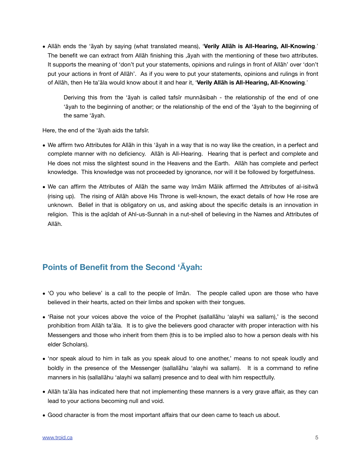• Allāh ends the 'āyah by saying (what translated means), '**Verily Allāh is All-Hearing, All-Knowing**.' The benefit we can extract from Allāh finishing this ,āyah with the mentioning of these two attributes. It supports the meaning of 'don't put your statements, opinions and rulings in front of Allāh' over 'don't put your actions in front of Allāh'. As if you were to put your statements, opinions and rulings in front of Allāh, then He ta'āla would know about it and hear it, '**Verily Allāh is All-Hearing, All-Knowing**.'

Deriving this from the 'āyah is called tafsīr munnāsibah - the relationship of the end of one 'āyah to the beginning of another; or the relationship of the end of the 'āyah to the beginning of the same 'āyah.

Here, the end of the 'āyah aids the tafsīr.

- We affirm two Attributes for Allāh in this 'āyah in a way that is no way like the creation, in a perfect and complete manner with no deficiency. Allāh is All-Hearing. Hearing that is perfect and complete and He does not miss the slightest sound in the Heavens and the Earth. Allāh has complete and perfect knowledge. This knowledge was not proceeded by ignorance, nor will it be followed by forgetfulness.
- We can affirm the Attributes of Allāh the same way Imām Mālik affirmed the Attributes of al-isitwā (rising up). The rising of Allāh above His Throne is well-known, the exact details of how He rose are unknown. Belief in that is obligatory on us, and asking about the specific details is an innovation in religion. This is the aqīdah of Ahl-us-Sunnah in a nut-shell of believing in the Names and Attributes of Allāh.

## **Points of Benefit from the Second 'Āyah:**

- 'O you who believe' is a call to the people of īmān. The people called upon are those who have believed in their hearts, acted on their limbs and spoken with their tongues.
- 'Raise not your voices above the voice of the Prophet (sallallāhu 'alayhi wa sallam),' is the second prohibition from Allāh ta'āla. It is to give the believers good character with proper interaction with his Messengers and those who inherit from them (this is to be implied also to how a person deals with his elder Scholars).
- 'nor speak aloud to him in talk as you speak aloud to one another,' means to not speak loudly and boldly in the presence of the Messenger (sallallāhu 'alayhi wa sallam). It is a command to refine manners in his (sallallāhu 'alayhi wa sallam) presence and to deal with him respectfully.
- Allāh ta'āla has indicated here that not implementing these manners is a very grave affair, as they can lead to your actions becoming null and void.
- Good character is from the most important affairs that our deen came to teach us about.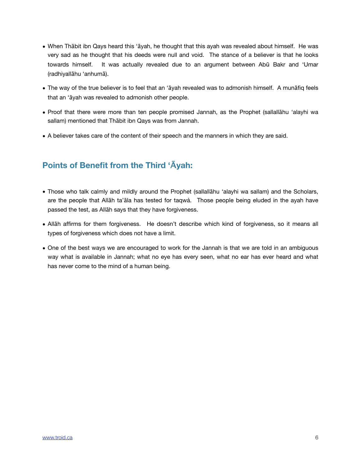- When Thābit ibn Qays heard this 'āyah, he thought that this ayah was revealed about himself. He was very sad as he thought that his deeds were null and void. The stance of a believer is that he looks towards himself. It was actually revealed due to an argument between Abū Bakr and 'Umar (radhiyallāhu 'anhumā).
- The way of the true believer is to feel that an 'āyah revealed was to admonish himself. A munāfiq feels that an 'āyah was revealed to admonish other people.
- Proof that there were more than ten people promised Jannah, as the Prophet (sallallāhu 'alayhi wa sallam) mentioned that Thābit ibn Qays was from Jannah.
- A believer takes care of the content of their speech and the manners in which they are said.

## **Points of Benefit from the Third 'Āyah:**

- Those who talk calmly and mildly around the Prophet (sallallāhu 'alayhi wa sallam) and the Scholars, are the people that Allāh ta'āla has tested for taqwá. Those people being eluded in the ayah have passed the test, as Allāh says that they have forgiveness.
- Allāh affirms for them forgiveness. He doesn't describe which kind of forgiveness, so it means all types of forgiveness which does not have a limit.
- One of the best ways we are encouraged to work for the Jannah is that we are told in an ambiguous way what is available in Jannah; what no eye has every seen, what no ear has ever heard and what has never come to the mind of a human being.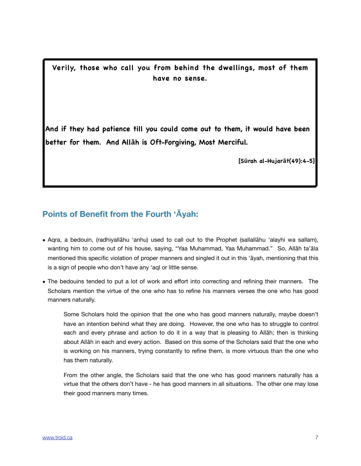**Verily, those who call you from behind the dwellings, most of them have no sense.**

**And if they had patience till you could come out to them, it would have been better for them. And Allāh is Oft-Forgiving, Most Merciful.**

**[Sūrah al-Hujarāt(49):4-5]**

## **Points of Benefit from the Fourth 'Āyah:**

- Aqra, a bedouin, (radhiyallāhu 'anhu) used to call out to the Prophet (sallallāhu 'alayhi wa sallam), wanting him to come out of his house, saying, "Yaa Muhammad, Yaa Muhammad." So, Allāh ta'āla mentioned this specific violation of proper manners and singled it out in this 'āyah, mentioning that this is a sign of people who don't have any 'aql or little sense.
- The bedouins tended to put a lot of work and effort into correcting and refining their manners. The Scholars mention the virtue of the one who has to refine his manners verses the one who has good manners naturally.

Some Scholars hold the opinion that the one who has good manners naturally, maybe doesn't have an intention behind what they are doing. However, the one who has to struggle to control each and every phrase and action to do it in a way that is pleasing to Allāh; then is thinking about Allāh in each and every action. Based on this some of the Scholars said that the one who is working on his manners, trying constantly to refine them, is more virtuous than the one who has them naturally.

From the other angle, the Scholars said that the one who has good manners naturally has a virtue that the others don't have - he has good manners in all situations. The other one may lose their good manners many times.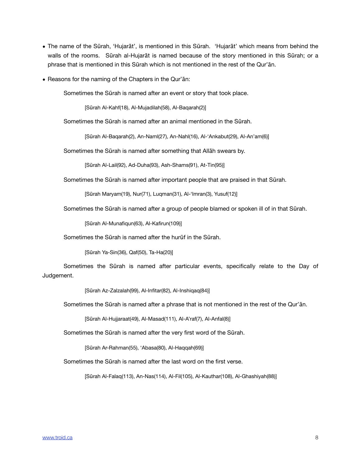- The name of the Sūrah, 'Hujarāt', is mentioned in this Sūrah. 'Hujarāt' which means from behind the walls of the rooms. Sūrah al-Hujarāt is named because of the story mentioned in this Sūrah; or a phrase that is mentioned in this Sūrah which is not mentioned in the rest of the Qur'ān.
- Reasons for the naming of the Chapters in the Qur'ān:

Sometimes the Sūrah is named after an event or story that took place.

[Sūrah Al-Kahf(18), Al-Mujadilah(58), Al-Baqarah(2)]

Sometimes the Sūrah is named after an animal mentioned in the Sūrah.

[Sūrah Al-Baqarah(2), An-Naml(27), An-Nahl(16), Al-'Ankabut(29), Al-An'am(6)]

Sometimes the Sūrah is named after something that Allāh swears by.

[Sūrah Al-Lail(92), Ad-Duha(93), Ash-Shams(91), At-Tin(95)]

Sometimes the Sūrah is named after important people that are praised in that Sūrah.

[Sūrah Maryam(19), Nur(71), Luqman(31), Al-'Imran(3), Yusuf(12)]

Sometimes the Sūrah is named after a group of people blamed or spoken ill of in that Sūrah.

[Sūrah Al-Munafiqun(63), Al-Kafirun(109)]

Sometimes the Sūrah is named after the hurūf in the Sūrah.

[Sūrah Ya-Sin(36), Qaf(50), Ta-Ha(20)]

Sometimes the Sūrah is named after particular events, specifically relate to the Day of Judgement.

[Sūrah Az-Zalzalah(99), Al-Infitar(82), Al-Inshiqaq(84)]

Sometimes the Sūrah is named after a phrase that is not mentioned in the rest of the Qur'ān.

[Sūrah Al-Hujjaraat(49), Al-Masad(111), Al-A'raf(7), Al-Anfal(8)]

Sometimes the Sūrah is named after the very first word of the Sūrah.

[Sūrah Ar-Rahman(55), 'Abasa(80), Al-Haqqah(69)]

Sometimes the Sūrah is named after the last word on the first verse.

[Sūrah Al-Falaq(113), An-Nas(114), Al-Fil(105), Al-Kauthar(108), Al-Ghashiyah(88)]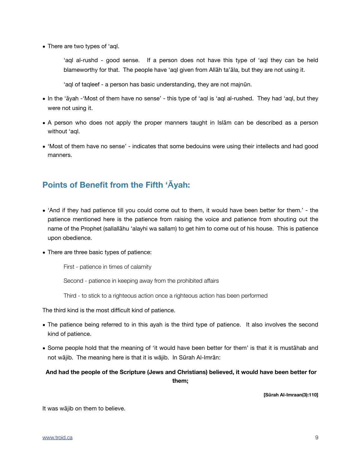• There are two types of 'aql.

'aql al-rushd - good sense. If a person does not have this type of 'aql they can be held blameworthy for that. The people have 'aql given from Allāh ta'āla, but they are not using it.

'aql of taqleef - a person has basic understanding, they are not majnūn.

- In the 'āyah -'Most of them have no sense' this type of 'aql is 'aql al-rushed. They had 'aql, but they were not using it.
- A person who does not apply the proper manners taught in Islām can be described as a person without 'aql.
- 'Most of them have no sense' indicates that some bedouins were using their intellects and had good manners.

## **Points of Benefit from the Fifth 'Āyah:**

- 'And if they had patience till you could come out to them, it would have been better for them.' the patience mentioned here is the patience from raising the voice and patience from shouting out the name of the Prophet (sallallāhu 'alayhi wa sallam) to get him to come out of his house. This is patience upon obedience.
- There are three basic types of patience:

First - patience in times of calamity

Second - patience in keeping away from the prohibited affairs

Third - to stick to a righteous action once a righteous action has been performed

The third kind is the most difficult kind of patience.

- The patience being referred to in this ayah is the third type of patience. It also involves the second kind of patience.
- Some people hold that the meaning of 'it would have been better for them' is that it is mustāhab and not wājib. The meaning here is that it is wãjib. In Sūrah Al-Imrān:

#### **And had the people of the Scripture (Jews and Christians) believed, it would have been better for them;**

**[Sūrah Al-Imraan(3):110]**

It was wājib on them to believe.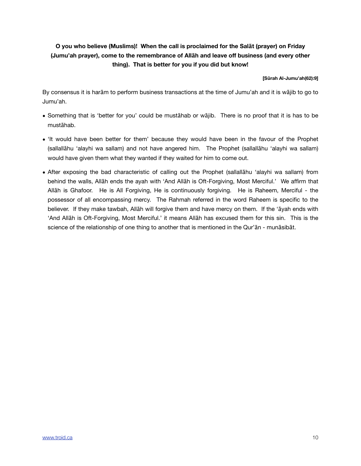#### **O you who believe (Muslims)! When the call is proclaimed for the Salāt (prayer) on Friday (Jumu'ah prayer), come to the remembrance of Allāh and leave off business (and every other thing). That is better for you if you did but know!**

#### **[Sūrah Al-Jumu'ah(62):9]**

By consensus it is harām to perform business transactions at the time of Jumu'ah and it is wājib to go to Jumu'ah.

- Something that is 'better for you' could be mustāhab or wājib. There is no proof that it is has to be mustāhab.
- 'It would have been better for them' because they would have been in the favour of the Prophet (sallallāhu 'alayhi wa sallam) and not have angered him. The Prophet (sallallāhu 'alayhi wa sallam) would have given them what they wanted if they waited for him to come out.
- After exposing the bad characteristic of calling out the Prophet (sallallāhu 'alayhi wa sallam) from behind the walls, Allāh ends the ayah with 'And Allāh is Oft-Forgiving, Most Merciful.' We affirm that Allāh is Ghafoor. He is All Forgiving, He is continuously forgiving. He is Raheem, Merciful - the possessor of all encompassing mercy. The Rahmah referred in the word Raheem is specific to the believer. If they make tawbah, Allāh will forgive them and have mercy on them. If the 'āyah ends with 'And Allāh is Oft-Forgiving, Most Merciful.' it means Allāh has excused them for this sin. This is the science of the relationship of one thing to another that is mentioned in the Qur'ān - munāsibāt.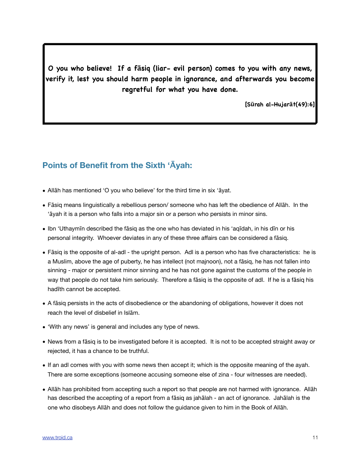**O you who believe! If a fāsiq (liar- evil person) comes to you with any news, verify it, lest you should harm people in ignorance, and afterwards you become regretful for what you have done.**

**[Sūrah al-Hujarāt(49):6]**

## **Points of Benefit from the Sixth 'Āyah:**

- Allāh has mentioned 'O you who believe' for the third time in six 'āyat.
- Fāsiq means linguistically a rebellious person/ someone who has left the obedience of Allāh. In the 'āyah it is a person who falls into a major sin or a person who persists in minor sins.
- Ibn 'Uthaymīn described the fāsiq as the one who has deviated in his 'aqīdah, in his dīn or his personal integrity. Whoever deviates in any of these three affairs can be considered a fāsiq.
- Fāsiq is the opposite of al-adl the upright person. Adl is a person who has five characteristics: he is a Muslim, above the age of puberty, he has intellect (not majnoon), not a fāsiq, he has not fallen into sinning - major or persistent minor sinning and he has not gone against the customs of the people in way that people do not take him seriously. Therefore a fāsiq is the opposite of adl. If he is a fāsiq his hadīth cannot be accepted.
- A fāsiq persists in the acts of disobedience or the abandoning of obligations, however it does not reach the level of disbelief in Islām.
- 'With any news' is general and includes any type of news.
- News from a fāsiq is to be investigated before it is accepted. It is not to be accepted straight away or rejected, it has a chance to be truthful.
- If an adl comes with you with some news then accept it; which is the opposite meaning of the ayah. There are some exceptions (someone accusing someone else of zina - four witnesses are needed).
- Allāh has prohibited from accepting such a report so that people are not harmed with ignorance. Allāh has described the accepting of a report from a fāsiq as jahālah - an act of ignorance. Jahālah is the one who disobeys Allāh and does not follow the guidance given to him in the Book of Allāh.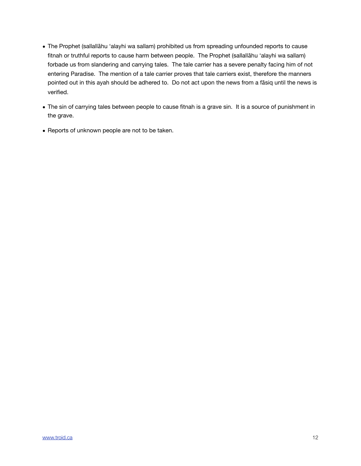- The Prophet (sallallāhu 'alayhi wa sallam) prohibited us from spreading unfounded reports to cause fitnah or truthful reports to cause harm between people. The Prophet (sallallāhu 'alayhi wa sallam) forbade us from slandering and carrying tales. The tale carrier has a severe penalty facing him of not entering Paradise. The mention of a tale carrier proves that tale carriers exist, therefore the manners pointed out in this ayah should be adhered to. Do not act upon the news from a fāsiq until the news is verified.
- The sin of carrying tales between people to cause fitnah is a grave sin. It is a source of punishment in the grave.
- Reports of unknown people are not to be taken.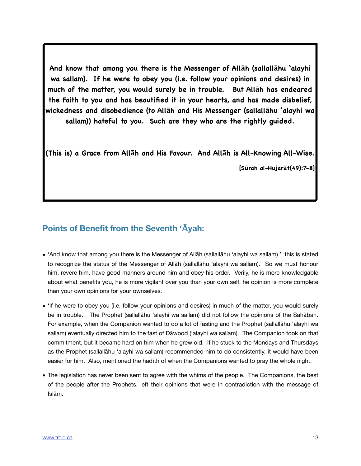**And know that among you there is the Messenger of Allāh (sallallāhu 'alayhi wa sallam). If he were to obey you (i.e. follow your opinions and desires) in much of the matter, you would surely be in trouble. But Allāh has endeared the Faith to you and has beautified it in your hearts, and has made disbelief, wickedness and disobedience (to Allāh and His Messenger (sallallāhu 'alayhi wa sallam)) hateful to you. Such are they who are the rightly guided.**

**(This is) a Grace from Allāh and His Favour. And Allāh is All-Knowing All-Wise.**

**[Sūrah al-Hujarāt(49):7-8]**

## **Points of Benefit from the Seventh 'Āyah:**

- 'And know that among you there is the Messenger of Allāh (sallallāhu 'alayhi wa sallam).' this is stated to recognize the status of the Messenger of Allāh (sallallāhu 'alayhi wa sallam). So we must honour him, revere him, have good manners around him and obey his order. Verily, he is more knowledgable about what benefits you, he is more vigilant over you than your own self, he opinion is more complete than your own opinions for your ownselves.
- 'If he were to obey you (i.e. follow your opinions and desires) in much of the matter, you would surely be in trouble.' The Prophet (sallallāhu 'alayhi wa sallam) did not follow the opinions of the Sahābah. For example, when the Companion wanted to do a lot of fasting and the Prophet (sallallāhu 'alayhi wa sallam) eventually directed him to the fast of Dāwood ('alayhi wa sallam). The Companion took on that commitment, but it became hard on him when he grew old. If he stuck to the Mondays and Thursdays as the Prophet (sallallāhu 'alayhi wa sallam) recommended him to do consistently, it would have been easier for him. Also, mentioned the hadīth of when the Companions wanted to pray the whole night.
- The legislation has never been sent to agree with the whims of the people. The Companions, the best of the people after the Prophets, left their opinions that were in contradiction with the message of Islām.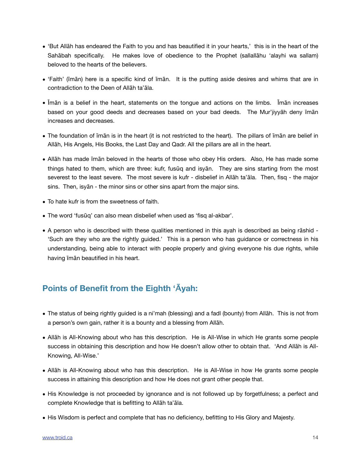- 'But Allāh has endeared the Faith to you and has beautified it in your hearts,' this is in the heart of the Sahābah specifically. He makes love of obedience to the Prophet (sallallāhu 'alayhi wa sallam) beloved to the hearts of the believers.
- 'Faith' (īmān) here is a specific kind of īmān. It is the putting aside desires and whims that are in contradiction to the Deen of Allāh ta'āla.
- Īmān is a belief in the heart, statements on the tongue and actions on the limbs. Īmān increases based on your good deeds and decreases based on your bad deeds. The Mur'jiyyãh deny īmān increases and decreases.
- The foundation of īmān is in the heart (it is not restricted to the heart). The pillars of īmān are belief in Allāh, His Angels, His Books, the Last Day and Qadr. All the pillars are all in the heart.
- Allāh has made īmān beloved in the hearts of those who obey His orders. Also, He has made some things hated to them, which are three: kufr, fusūq and isyān. They are sins starting from the most severest to the least severe. The most severe is kufr - disbelief in Allāh ta'āla. Then, fisq - the major sins. Then, isyān - the minor sins or other sins apart from the major sins.
- To hate kufr is from the sweetness of faith.
- The word 'fusūq' can also mean disbelief when used as 'fisq al-akbar'.
- A person who is described with these qualities mentioned in this ayah is described as being rāshid 'Such are they who are the rightly guided.' This is a person who has guidance or correctness in his understanding, being able to interact with people properly and giving everyone his due rights, while having īmān beautified in his heart.

## **Points of Benefit from the Eighth 'Āyah:**

- The status of being rightly guided is a ni'mah (blessing) and a fadl (bounty) from Allāh. This is not from a person's own gain, rather it is a bounty and a blessing from Allāh.
- Allāh is All-Knowing about who has this description. He is All-Wise in which He grants some people success in obtaining this description and how He doesn't allow other to obtain that. 'And Allāh is All-Knowing, All-Wise.'
- Allāh is All-Knowing about who has this description. He is All-Wise in how He grants some people success in attaining this description and how He does not grant other people that.
- His Knowledge is not proceeded by ignorance and is not followed up by forgetfulness; a perfect and complete Knowledge that is befitting to Allāh ta'āla.
- His Wisdom is perfect and complete that has no deficiency, befitting to His Glory and Majesty.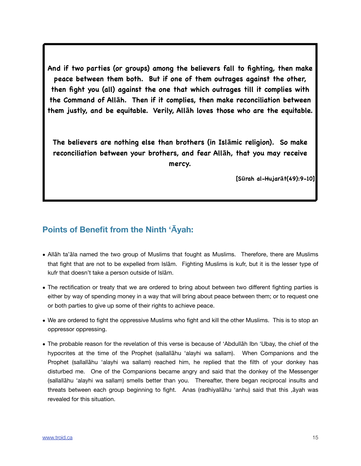**And if two parties (or groups) among the believers fall to fighting, then make peace between them both. But if one of them outrages against the other, then fight you (all) against the one that which outrages till it complies with the Command of Allāh. Then if it complies, then make reconciliation between them justly, and be equitable. Verily, Allāh loves those who are the equitable.**

**The believers are nothing else than brothers (in Islāmic religion). So make reconciliation between your brothers, and fear Allāh, that you may receive mercy.**

**[Sūrah al-Hujarāt(49):9-10]**

## **Points of Benefit from the Ninth 'Āyah:**

- Allāh ta'āla named the two group of Muslims that fought as Muslims. Therefore, there are Muslims that fight that are not to be expelled from Islām. Fighting Muslims is kufr, but it is the lesser type of kufr that doesn't take a person outside of Islām.
- The rectification or treaty that we are ordered to bring about between two different fighting parties is either by way of spending money in a way that will bring about peace between them; or to request one or both parties to give up some of their rights to achieve peace.
- We are ordered to fight the oppressive Muslims who fight and kill the other Muslims. This is to stop an oppressor oppressing.
- The probable reason for the revelation of this verse is because of 'Abdullāh Ibn 'Ubay, the chief of the hypocrites at the time of the Prophet (sallallāhu 'alayhi wa sallam). When Companions and the Prophet (sallallāhu 'alayhi wa sallam) reached him, he replied that the filth of your donkey has disturbed me. One of the Companions became angry and said that the donkey of the Messenger (sallallāhu 'alayhi wa sallam) smells better than you. Thereafter, there began reciprocal insults and threats between each group beginning to fight. Anas (radhiyallāhu 'anhu) said that this ,āyah was revealed for this situation.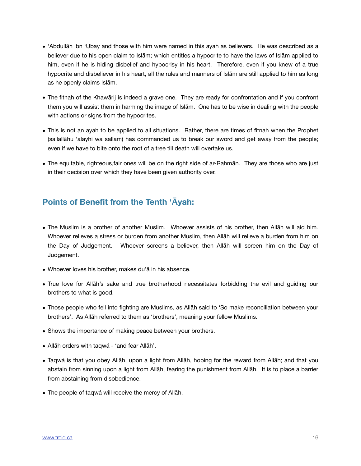- 'Abdullāh ibn 'Ubay and those with him were named in this ayah as believers. He was described as a believer due to his open claim to Islām; which entitles a hypocrite to have the laws of Islām applied to him, even if he is hiding disbelief and hypocrisy in his heart. Therefore, even if you knew of a true hypocrite and disbeliever in his heart, all the rules and manners of Islām are still applied to him as long as he openly claims Islām.
- The fitnah of the Khawārij is indeed a grave one. They are ready for confrontation and if you confront them you will assist them in harming the image of Islām. One has to be wise in dealing with the people with actions or signs from the hypocrites.
- This is not an ayah to be applied to all situations. Rather, there are times of fitnah when the Prophet (sallallāhu 'alayhi wa sallam) has commanded us to break our sword and get away from the people; even if we have to bite onto the root of a tree till death will overtake us.
- The equitable, righteous,fair ones will be on the right side of ar-Rahmān. They are those who are just in their decision over which they have been given authority over.

## **Points of Benefit from the Tenth 'Āyah:**

- The Muslim is a brother of another Muslim. Whoever assists of his brother, then Allāh will aid him. Whoever relieves a stress or burden from another Muslim, then Allāh will relieve a burden from him on the Day of Judgement. Whoever screens a believer, then Allāh will screen him on the Day of Judgement.
- Whoever loves his brother, makes du'ã in his absence.
- True love for Allāh's sake and true brotherhood necessitates forbidding the evil and guiding our brothers to what is good.
- Those people who fell into fighting are Muslims, as Allāh said to 'So make reconciliation between your brothers'. As Allāh referred to them as 'brothers', meaning your fellow Muslims.
- Shows the importance of making peace between your brothers.
- Allāh orders with taqwá 'and fear Allāh'.
- Taqwá is that you obey Allāh, upon a light from Allāh, hoping for the reward from Allāh; and that you abstain from sinning upon a light from Allāh, fearing the punishment from Allāh. It is to place a barrier from abstaining from disobedience.
- The people of taqwá will receive the mercy of Allāh.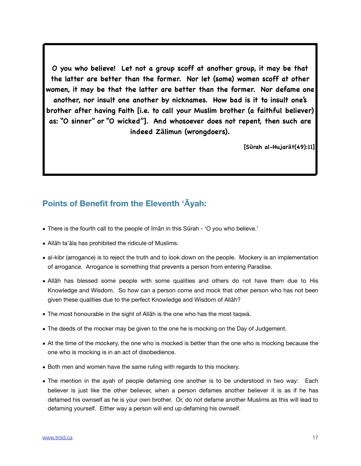**O you who believe! Let not a group scoff at another group, it may be that the latter are better than the former. Nor let (some) women scoff at other women, it may be that the latter are better than the former. Nor defame one another, nor insult one another by nicknames. How bad is it to insult one's brother after having Faith [i.e. to call your Muslim brother (a faithful believer) as: "O sinner" or "O wicked"]. And whosoever does not repent, then such are indeed Zālimun (wrongdoers).**

**[Sūrah al-Hujarāt(49):11]**

## **Points of Benefit from the Eleventh 'Āyah:**

- There is the fourth call to the people of īmān in this Sūrah 'O you who believe.'
- Allāh ta'āla has prohibited the ridicule of Muslims.
- al-kibr (arrogance) is to reject the truth and to look down on the people. Mockery is an implementation of arrogance. Arrogance is something that prevents a person from entering Paradise.
- Allāh has blessed some people with some qualities and others do not have them due to His Knowledge and Wisdom. So how can a person come and mock that other person who has not been given these qualities due to the perfect Knowledge and Wisdom of Allāh?
- The most honourable in the sight of Allāh is the one who has the most taqwá.
- The deeds of the mocker may be given to the one he is mocking on the Day of Judgement.
- At the time of the mockery, the one who is mocked is better than the one who is mocking because the one who is mocking is in an act of disobedience.
- Both men and women have the same ruling with regards to this mockery.
- The mention in the ayah of people defaming one another is to be understood in two way: Each believer is just like the other believer, when a person defames another believer it is as if he has defamed his ownself as he is your own brother. Or, do not defame another Muslims as this will lead to defaming yourself. Either way a person will end up defaming his ownself.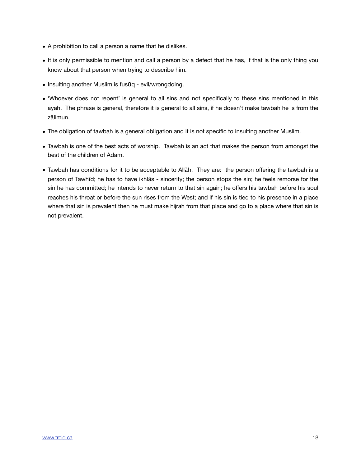- A prohibition to call a person a name that he dislikes.
- It is only permissible to mention and call a person by a defect that he has, if that is the only thing you know about that person when trying to describe him.
- Insulting another Muslim is fusūq evil/wrongdoing.
- 'Whoever does not repent' is general to all sins and not specifically to these sins mentioned in this ayah. The phrase is general, therefore it is general to all sins, if he doesn't make tawbah he is from the zālimun.
- The obligation of tawbah is a general obligation and it is not specific to insulting another Muslim.
- Tawbah is one of the best acts of worship. Tawbah is an act that makes the person from amongst the best of the children of Adam.
- Tawbah has conditions for it to be acceptable to Allāh. They are: the person offering the tawbah is a person of Tawhīd; he has to have ikhlās - sincerity; the person stops the sin; he feels remorse for the sin he has committed; he intends to never return to that sin again; he offers his tawbah before his soul reaches his throat or before the sun rises from the West; and if his sin is tied to his presence in a place where that sin is prevalent then he must make hijrah from that place and go to a place where that sin is not prevalent.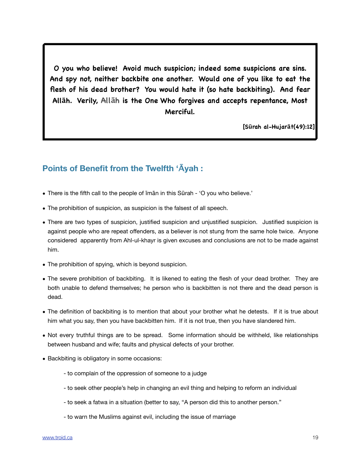**O you who believe! Avoid much suspicion; indeed some suspicions are sins. And spy not, neither backbite one another. Would one of you like to eat the flesh of his dead brother? You would hate it (so hate backbiting). And fear Allāh. Verily, Allāh is the One Who forgives and accepts repentance, Most Merciful.**

**[Sūrah al-Hujarāt(49):12]**

### **Points of Benefit from the Twelfth 'Āyah :**

- There is the fifth call to the people of īmān in this Sūrah 'O you who believe.'
- The prohibition of suspicion, as suspicion is the falsest of all speech.
- There are two types of suspicion, justified suspicion and unjustified suspicion. Justified suspicion is against people who are repeat offenders, as a believer is not stung from the same hole twice. Anyone considered apparently from Ahl-ul-khayr is given excuses and conclusions are not to be made against him.
- The prohibition of spying, which is beyond suspicion.
- The severe prohibition of backbiting. It is likened to eating the flesh of your dead brother. They are both unable to defend themselves; he person who is backbitten is not there and the dead person is dead.
- The definition of backbiting is to mention that about your brother what he detests. If it is true about him what you say, then you have backbitten him. If it is not true, then you have slandered him.
- Not every truthful things are to be spread. Some information should be withheld, like relationships between husband and wife; faults and physical defects of your brother.
- Backbiting is obligatory in some occasions:
	- to complain of the oppression of someone to a judge
	- to seek other people's help in changing an evil thing and helping to reform an individual
	- to seek a fatwa in a situation (better to say, "A person did this to another person."
	- to warn the Muslims against evil, including the issue of marriage